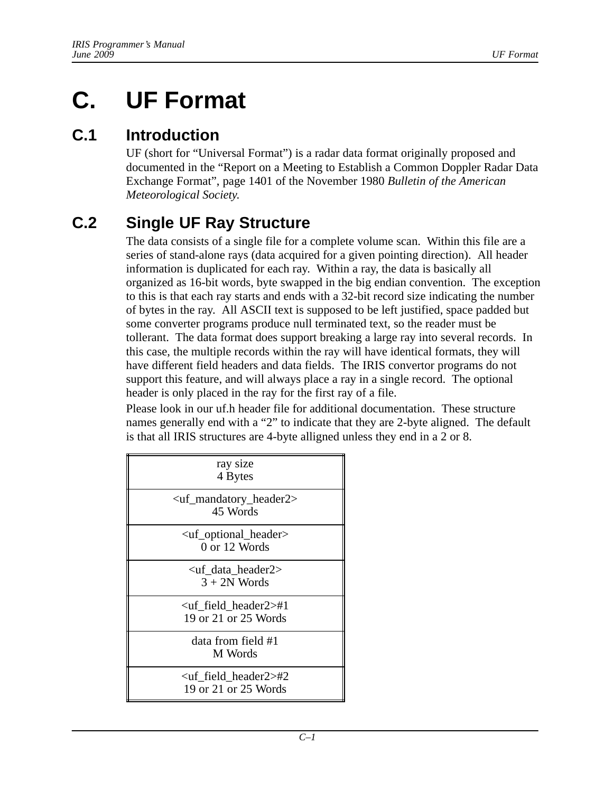# **C. UF Format**

### **C.1 Introduction**

UF (short for "Universal Format") is a radar data format originally proposed and documented in the "Report on a Meeting to Establish a Common Doppler Radar Data Exchange Format", page 1401 of the November 1980 *Bulletin of the American Meteorological Society*.

# **C.2 Single UF Ray Structure**

The data consists of a single file for a complete volume scan. Within this file are a series of stand-alone rays (data acquired for a given pointing direction). All header information is duplicated for each ray. Within a ray, the data is basically all organized as 16-bit words, byte swapped in the big endian convention. The exception to this is that each ray starts and ends with a 32-bit record size indicating the number of bytes in the ray. All ASCII text is supposed to be left justified, space padded but some converter programs produce null terminated text, so the reader must be tollerant. The data format does support breaking a large ray into several records. In this case, the multiple records within the ray will have identical formats, they will have different field headers and data fields. The IRIS convertor programs do not support this feature, and will always place a ray in a single record. The optional header is only placed in the ray for the first ray of a file.

Please look in our uf.h header file for additional documentation. These structure names generally end with a "2" to indicate that they are 2-byte aligned. The default is that all IRIS structures are 4-byte alligned unless they end in a 2 or 8.

| ray size<br>4 Bytes                                               |
|-------------------------------------------------------------------|
| <uf_mandatory_header2><br/>45 Words</uf_mandatory_header2>        |
| <uf_optional_header><br/>0 or 12 Words</uf_optional_header>       |
| <uf_data_header2><br/><math>3 + 2N</math> Words</uf_data_header2> |
| $\lt$ uf field header2 $\gt$ #1<br>19 or 21 or 25 Words           |
| data from field #1<br>M Words                                     |
| $\lt$ uf field header2 $\gt$ #2<br>19 or 21 or 25 Words           |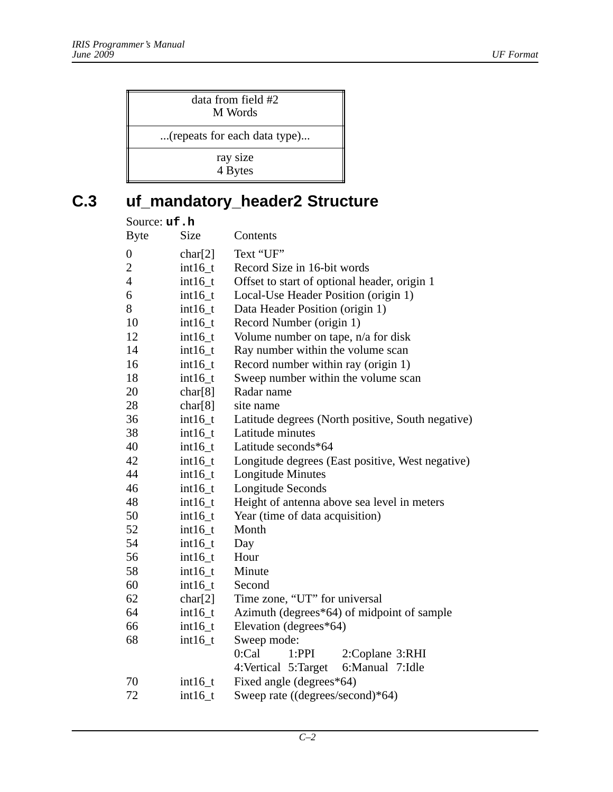| data from field #2<br>M Words |  |
|-------------------------------|--|
| (repeats for each data type)  |  |
| ray size<br>4 Bytes           |  |

# **C.3 uf\_mandatory\_header2 Structure**

| Source: uf.h     |             |                                                   |  |
|------------------|-------------|---------------------------------------------------|--|
| <b>Byte</b>      | <b>Size</b> | Contents                                          |  |
| $\boldsymbol{0}$ | char[2]     | Text "UF"                                         |  |
| $\overline{c}$   | $int16_t$   | Record Size in 16-bit words                       |  |
| $\overline{4}$   | $int16_t$   | Offset to start of optional header, origin 1      |  |
| 6                | $int16_t$   | Local-Use Header Position (origin 1)              |  |
| 8                | $int16_t$   | Data Header Position (origin 1)                   |  |
| 10               | $int16_t$   | Record Number (origin 1)                          |  |
| 12               | $int16_t$   | Volume number on tape, n/a for disk               |  |
| 14               | $int16_t$   | Ray number within the volume scan                 |  |
| 16               | $int16_t$   | Record number within ray (origin 1)               |  |
| 18               | $int16_t$   | Sweep number within the volume scan               |  |
| 20               | char[8]     | Radar name                                        |  |
| 28               | char[8]     | site name                                         |  |
| 36               | $int16_t$   | Latitude degrees (North positive, South negative) |  |
| 38               | $int16_t$   | Latitude minutes                                  |  |
| 40               | $int16_t$   | Latitude seconds*64                               |  |
| 42               | $int16_t$   | Longitude degrees (East positive, West negative)  |  |
| 44               | $int16_t$   | Longitude Minutes                                 |  |
| 46               | $int16_t$   | Longitude Seconds                                 |  |
| 48               | $int16_t$   | Height of antenna above sea level in meters       |  |
| 50               | $int16_t$   | Year (time of data acquisition)                   |  |
| 52               | $int16_t$   | Month                                             |  |
| 54               | $int16_t$   | Day                                               |  |
| 56               | $int16_t$   | Hour                                              |  |
| 58               | $int16_t$   | Minute                                            |  |
| 60               | $int16_t$   | Second                                            |  |
| 62               | char[2]     | Time zone, "UT" for universal                     |  |
| 64               | $int16_t$   | Azimuth (degrees*64) of midpoint of sample        |  |
| 66               | $int16_t$   | Elevation (degrees*64)                            |  |
| 68               | $int16_t$   | Sweep mode:                                       |  |
|                  |             | 0:Cal<br>2:Coplane 3:RHI<br>1:PPI                 |  |
|                  |             | 6:Manual 7:Idle<br>4: Vertical 5: Target          |  |
| 70               | $int16_t$   | Fixed angle (degrees*64)                          |  |
| 72               | $int16_t$   | Sweep rate ((degrees/second)*64)                  |  |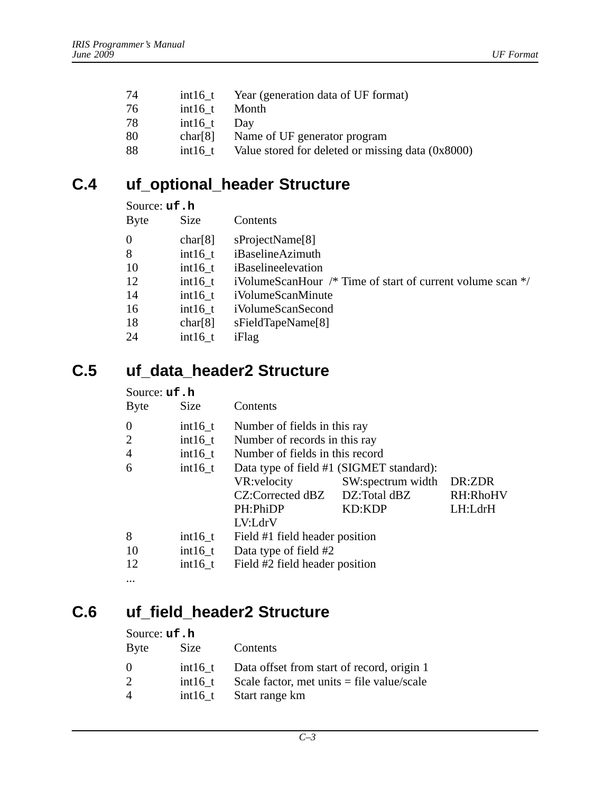| 74 | $int16$ t | Year (generation data of UF format) |
|----|-----------|-------------------------------------|
| 76 | $int16$ t | Month                               |

- 78 int16\_t Day
- 
- 80 char[8] Name of UF generator program
- 88 int16\_t Value stored for deleted or missing data (0x8000)

### **C.4 uf\_optional\_header Structure**

#### Source: **uf.h**

| <b>Byte</b> | <b>Size</b> | Contents                                                       |
|-------------|-------------|----------------------------------------------------------------|
| 0           | char[8]     | sProjectName <sup>[8]</sup>                                    |
| 8           | $int16$ t   | iBaselineAzimuth                                               |
| 10          | $int16$ t   | iBaselineelevation                                             |
| 12          | $int16$ t   | iVolumeScanHour $/*$ Time of start of current volume scan $*/$ |
| 14          | $int16$ t   | iVolumeScanMinute                                              |
| 16          | $int16$ t   | iVolumeScanSecond                                              |
| 18          | char[8]     | sFieldTapeName[8]                                              |
| 24          | $int16$ t   | iFlag                                                          |

### **C.5 uf\_data\_header2 Structure**

#### Source: **uf.h**

| <b>Byte</b>    | Size      | Contents                                 |                   |          |
|----------------|-----------|------------------------------------------|-------------------|----------|
| $\overline{0}$ | $int16_t$ | Number of fields in this ray             |                   |          |
| 2              | $int16_t$ | Number of records in this ray            |                   |          |
| $\overline{4}$ | $int16_t$ | Number of fields in this record          |                   |          |
| 6              | $int16_t$ | Data type of field #1 (SIGMET standard): |                   |          |
|                |           | VR: velocity                             | SW:spectrum width | DR:ZDR   |
|                |           | CZ:Corrected dBZ DZ:Total dBZ            |                   | RH:RhoHV |
|                |           | PH:PhiDP                                 | <b>KD:KDP</b>     | LH:LdrH  |
|                |           | LV:LdrV                                  |                   |          |
| 8              | $int16_t$ | Field #1 field header position           |                   |          |
| 10             | $int16_t$ | Data type of field #2                    |                   |          |
| 12             | $int16_t$ | Field #2 field header position           |                   |          |
| $\cdots$       |           |                                          |                   |          |

### **C.6 uf\_field\_header2 Structure**

#### Source: **uf.h**

| <b>Byte</b> | Size      | Contents                                     |
|-------------|-----------|----------------------------------------------|
| 0           | $int16$ t | Data offset from start of record, origin 1   |
| 2           | $int16$ t | Scale factor, met units $=$ file value/scale |
| 4           | $int16$ t | Start range km                               |